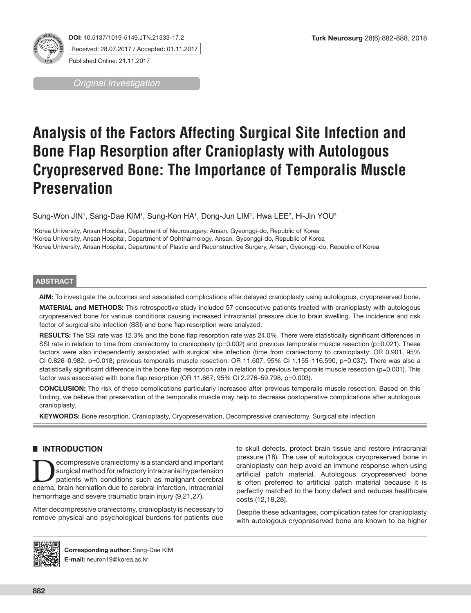

**DOI:** 10.5137/1019-5149.JTN.21333-17.2 Received: 28.07.2017 / Accepted: 01.11.2017 Published Online: 21.11.2017

*Original Investigation*

# **Analysis of the Factors Affecting Surgical Site Infection and Bone Flap Resorption after Cranioplasty with Autologous Cryopreserved Bone: The Importance of Temporalis Muscle Preservation**

Sung-Won JIN', Sang-Dae KIM', Sung-Kon HA', Dong-Jun LIM', Hwa LEE<del>'</del>, Hi-Jin YOU<sup>3</sup>

1 Korea University, Ansan Hospital, Department of Neurosurgery, Ansan, Gyeonggi-do, Republic of Korea 2 Korea University, Ansan Hospital, Department of Ophthalmology, Ansan, Gyeonggi-do, Republic of Korea 3 Korea University, Ansan Hospital, Department of Plastic and Reconstructive Surgery, Ansan, Gyeonggi-do, Republic of Korea

# **ABSTRACT**

**AIM:** To investigate the outcomes and associated complications after delayed cranioplasty using autologous, cryopreserved bone.

**MATERIAL and METHODS:** This retrospective study included 57 consecutive patients treated with cranioplasty with autologous cryopreserved bone for various conditions causing increased intracranial pressure due to brain swelling. The incidence and risk factor of surgical site infection (SSI) and bone flap resorption were analyzed.

**RESULTS:** The SSI rate was 12.3% and the bone flap resorption rate was 24.0%. There were statistically significant differences in SSI rate in relation to time from craniectomy to cranioplasty (p=0.002) and previous temporalis muscle resection (p=0.021). These factors were also independently associated with surgical site infection (time from craniectomy to cranioplasty: OR 0.901, 95% CI 0.826–0.982, p=0.018; previous temporalis muscle resection: OR 11.607, 95% CI 1.155–116.590, p=0.037). There was also a statistically significant difference in the bone flap resorption rate in relation to previous temporalis muscle resection (p=0.001). This factor was associated with bone flap resorption (OR 11.667, 95% CI 2.276–59.798, p=0.003).

**CONCLUSION:** The risk of these complications particularly increased after previous temporalis muscle resection. Based on this finding, we believe that preservation of the temporalis muscle may help to decrease postoperative complications after autologous cranioplasty.

**KEYWORDS:** Bone resorption, Cranioplasty, Cryopreservation, Decompressive craniectomy, Surgical site infection

# █ **INTRODUCTION**

Examplessive craniectomy is a standard and important<br>patients with conditions such as malignant cerebral<br>edema brain berniation due to cerebral inferction, intracranial surgical method for refractory intracranial hypertension edema, brain herniation due to cerebral infarction, intracranial hemorrhage and severe traumatic brain injury (9,21,27).

After decompressive craniectomy, cranioplasty is necessary to remove physical and psychological burdens for patients due to skull defects, protect brain tissue and restore intracranial pressure (18). The use of autologous cryopreserved bone in cranioplasty can help avoid an immune response when using artificial patch material. Autologous cryopreserved bone is often preferred to artificial patch material because it is perfectly matched to the bony defect and reduces healthcare costs (12,18,28).

Despite these advantages, complication rates for cranioplasty with autologous cryopreserved bone are known to be higher



**Corresponding author:** Sang-Dae KIM **E-mail:** neuron19@korea.ac.kr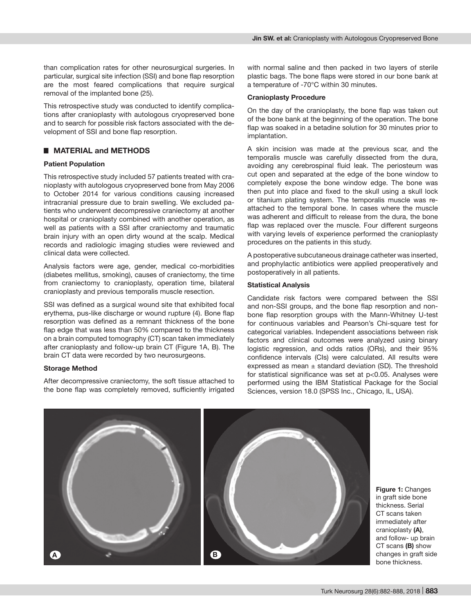than complication rates for other neurosurgical surgeries. In particular, surgical site infection (SSI) and bone flap resorption are the most feared complications that require surgical removal of the implanted bone (25).

This retrospective study was conducted to identify complications after cranioplasty with autologous cryopreserved bone and to search for possible risk factors associated with the development of SSI and bone flap resorption.

# █ **MATERIAL and METHODS**

# **Patient Population**

This retrospective study included 57 patients treated with cranioplasty with autologous cryopreserved bone from May 2006 to October 2014 for various conditions causing increased intracranial pressure due to brain swelling. We excluded patients who underwent decompressive craniectomy at another hospital or cranioplasty combined with another operation, as well as patients with a SSI after craniectomy and traumatic brain injury with an open dirty wound at the scalp. Medical records and radiologic imaging studies were reviewed and clinical data were collected.

Analysis factors were age, gender, medical co-morbidities (diabetes mellitus, smoking), causes of craniectomy, the time from craniectomy to cranioplasty, operation time, bilateral cranioplasty and previous temporalis muscle resection.

SSI was defined as a surgical wound site that exhibited focal erythema, pus-like discharge or wound rupture (4). Bone flap resorption was defined as a remnant thickness of the bone flap edge that was less than 50% compared to the thickness on a brain computed tomography (CT) scan taken immediately after cranioplasty and follow-up brain CT (Figure 1A, B). The brain CT data were recorded by two neurosurgeons.

## **Storage Method**

After decompressive craniectomy, the soft tissue attached to the bone flap was completely removed, sufficiently irrigated

with normal saline and then packed in two layers of sterile plastic bags. The bone flaps were stored in our bone bank at a temperature of -70°C within 30 minutes.

#### **Cranioplasty Procedure**

On the day of the cranioplasty, the bone flap was taken out of the bone bank at the beginning of the operation. The bone flap was soaked in a betadine solution for 30 minutes prior to implantation.

A skin incision was made at the previous scar, and the temporalis muscle was carefully dissected from the dura, avoiding any cerebrospinal fluid leak. The periosteum was cut open and separated at the edge of the bone window to completely expose the bone window edge. The bone was then put into place and fixed to the skull using a skull lock or titanium plating system. The temporalis muscle was reattached to the temporal bone. In cases where the muscle was adherent and difficult to release from the dura, the bone flap was replaced over the muscle. Four different surgeons with varying levels of experience performed the cranioplasty procedures on the patients in this study.

A postoperative subcutaneous drainage catheter was inserted, and prophylactic antibiotics were applied preoperatively and postoperatively in all patients.

#### **Statistical Analysis**

Candidate risk factors were compared between the SSI and non-SSI groups, and the bone flap resorption and nonbone flap resorption groups with the Mann-Whitney U-test for continuous variables and Pearson's Chi-square test for categorical variables. Independent associations between risk factors and clinical outcomes were analyzed using binary logistic regression, and odds ratios (ORs), and their 95% confidence intervals (CIs) were calculated. All results were expressed as mean  $\pm$  standard deviation (SD). The threshold for statistical significance was set at p<0.05. Analyses were performed using the IBM Statistical Package for the Social Sciences, version 18.0 (SPSS Inc., Chicago, IL, USA).



**Figure 1:** Changes in graft side bone thickness. Serial CT scans taken immediately after cranioplasty **(A)**, and follow- up brain CT scans **(B)** show changes in graft side bone thickness.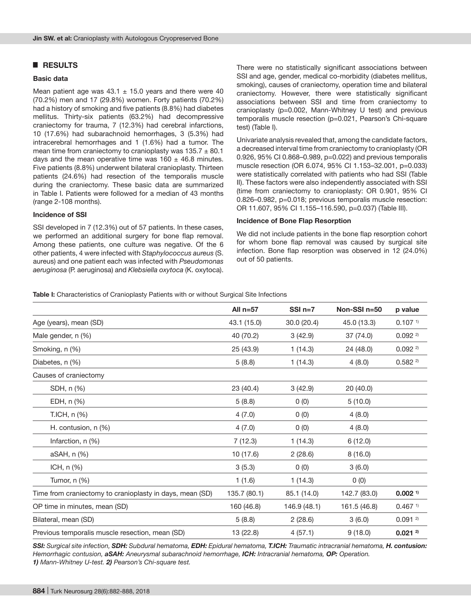# █ **RESULTS**

#### **Basic data**

Mean patient age was  $43.1 \pm 15.0$  years and there were 40 (70.2%) men and 17 (29.8%) women. Forty patients (70.2%) had a history of smoking and five patients (8.8%) had diabetes mellitus. Thirty-six patients (63.2%) had decompressive craniectomy for trauma, 7 (12.3%) had cerebral infarctions, 10 (17.6%) had subarachnoid hemorrhages, 3 (5.3%) had intracerebral hemorrhages and 1 (1.6%) had a tumor. The mean time from craniectomy to cranioplasty was  $135.7 \pm 80.1$ days and the mean operative time was  $160 \pm 46.8$  minutes. Five patients (8.8%) underwent bilateral cranioplasty. Thirteen patients (24.6%) had resection of the temporalis muscle during the craniectomy. These basic data are summarized in Table I. Patients were followed for a median of 43 months (range 2-108 months).

#### **Incidence of SSI**

SSI developed in 7 (12.3%) out of 57 patients. In these cases, we performed an additional surgery for bone flap removal. Among these patients, one culture was negative. Of the 6 other patients, 4 were infected with *Staphylococcus aureus* (S. aureus) and one patient each was infected with *Pseudomonas aeruginosa* (P. aeruginosa) and *Klebsiella oxytoca* (K. oxytoca). There were no statistically significant associations between SSI and age, gender, medical co-morbidity (diabetes mellitus, smoking), causes of craniectomy, operation time and bilateral craniectomy. However, there were statistically significant associations between SSI and time from craniectomy to cranioplasty (p=0.002, Mann-Whitney U test) and previous temporalis muscle resection (p=0.021, Pearson's Chi-square test) (Table I).

Univariate analysis revealed that, among the candidate factors, a decreased interval time from craniectomy to cranioplasty (OR 0.926, 95% CI 0.868–0.989, p=0.022) and previous temporalis muscle resection (OR 6.074, 95% CI 1.153–32.001, p=0.033) were statistically correlated with patients who had SSI (Table II). These factors were also independently associated with SSI (time from craniectomy to cranioplasty: OR 0.901, 95% CI 0.826–0.982, p=0.018; previous temporalis muscle resection: OR 11.607, 95% CI 1.155–116.590, p=0.037) (Table III).

#### **Incidence of Bone Flap Resorption**

We did not include patients in the bone flap resorption cohort for whom bone flap removal was caused by surgical site infection. Bone flap resorption was observed in 12 (24.0%) out of 50 patients.

#### **Table I:** Characteristics of Cranioplasty Patients with or without Surgical Site Infections

|                                                          | All $n=57$   | $SSI$ n=7    | Non-SSI n=50 | p value               |
|----------------------------------------------------------|--------------|--------------|--------------|-----------------------|
| Age (years), mean (SD)                                   | 43.1 (15.0)  | 30.0 (20.4)  | 45.0 (13.3)  | 0.107 <sup>1</sup>    |
| Male gender, n (%)                                       | 40 (70.2)    | 3(42.9)      | 37 (74.0)    | $0.092$ <sup>2)</sup> |
| Smoking, n (%)                                           | 25 (43.9)    | 1(14.3)      | 24 (48.0)    | 0.0922                |
| Diabetes, n (%)                                          | 5(8.8)       | 1(14.3)      | 4(8.0)       | 0.5822                |
| Causes of craniectomy                                    |              |              |              |                       |
| SDH, n (%)                                               | 23 (40.4)    | 3(42.9)      | 20 (40.0)    |                       |
| EDH, n (%)                                               | 5(8.8)       | 0(0)         | 5(10.0)      |                       |
| T.ICH, n (%)                                             | 4(7.0)       | 0(0)         | 4(8.0)       |                       |
| H. contusion, n (%)                                      | 4(7.0)       | 0(0)         | 4(8.0)       |                       |
| Infarction, n (%)                                        | 7(12.3)      | 1(14.3)      | 6(12.0)      |                       |
| aSAH, n (%)                                              | 10 (17.6)    | 2(28.6)      | 8(16.0)      |                       |
| ICH, $n$ $%$                                             | 3(5.3)       | 0(0)         | 3(6.0)       |                       |
| Tumor, n (%)                                             | 1(1.6)       | 1(14.3)      | 0(0)         |                       |
| Time from craniectomy to cranioplasty in days, mean (SD) | 135.7 (80.1) | 85.1 (14.0)  | 142.7 (83.0) | $0.002$ <sup>1)</sup> |
| OP time in minutes, mean (SD)                            | 160 (46.8)   | 146.9 (48.1) | 161.5 (46.8) | $0.467$ <sup>1)</sup> |
| Bilateral, mean (SD)                                     | 5(8.8)       | 2(28.6)      | 3(6.0)       | 0.0912                |
| Previous temporalis muscle resection, mean (SD)          | 13 (22.8)    | 4(57.1)      | 9(18.0)      | $0.021^{2}$           |

*SSI: Surgical site infection, SDH: Subdural hematoma, EDH: Epidural hematoma, T.ICH: Traumatic intracranial hematoma, H. contusion: Hemorrhagic contusion, aSAH: Aneurysmal subarachnoid hemorrhage, ICH: Intracranial hematoma, OP: Operation. 1) Mann-Whitney U-test. 2) Pearson's Chi-square test.*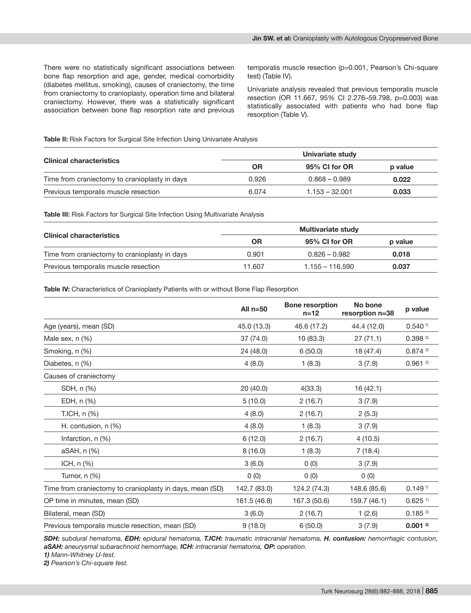There were no statistically significant associations between bone flap resorption and age, gender, medical comorbidity (diabetes mellitus, smoking), causes of craniectomy, the time from craniectomy to cranioplasty, operation time and bilateral craniectomy. However, there was a statistically significant association between bone flap resorption rate and previous

temporalis muscle resection (p=0.001, Pearson's Chi-square test) (Table IV).

Univariate analysis revealed that previous temporalis muscle resection (OR 11.667, 95% CI 2.276–59.798, p=0.003) was statistically associated with patients who had bone flap resorption (Table V).

#### **Table II:** Risk Factors for Surgical Site Infection Using Univariate Analysis

|                                               | Univariate study |                  |         |  |
|-----------------------------------------------|------------------|------------------|---------|--|
| <b>Clinical characteristics</b>               | ΟR               | 95% CI for OR    | p value |  |
| Time from craniectomy to cranioplasty in days | 0.926            | $0.868 - 0.989$  | 0.022   |  |
| Previous temporalis muscle resection          | 6.074            | $1.153 - 32.001$ | 0.033   |  |

**Table III:** Risk Factors for Surgical Site Infection Using Multivariate Analysis

| <b>Clinical characteristics</b>               | <b>Multivariate study</b> |                   |         |  |
|-----------------------------------------------|---------------------------|-------------------|---------|--|
|                                               | ΟR                        | 95% CI for OR     | p value |  |
| Time from craniectomy to cranioplasty in days | 0.901                     | $0.826 - 0.982$   | 0.018   |  |
| Previous temporalis muscle resection          | 11.607                    | $1.155 - 116.590$ | 0.037   |  |

Table IV: Characteristics of Cranioplasty Patients with or without Bone Flap Resorption

|                                                          | All $n=50$   | <b>Bone resorption</b><br>$n = 12$ | No bone<br>resorption n=38 | p value               |
|----------------------------------------------------------|--------------|------------------------------------|----------------------------|-----------------------|
| Age (years), mean (SD)                                   | 45.0 (13.3)  | 46.6 (17.2)                        | 44.4 (12.0)                | 0.540 <sup>1</sup>    |
| Male sex, n (%)                                          | 37 (74.0)    | 10 (83.3)                          | 27(71.1)                   | 0.39822               |
| Smoking, n (%)                                           | 24 (48.0)    | 6(50.0)                            | 18 (47.4)                  | 0.8742                |
| Diabetes, n (%)                                          | 4(8.0)       | 1(8.3)                             | 3(7.9)                     | 0.9612                |
| Causes of craniectomy                                    |              |                                    |                            |                       |
| SDH, n (%)                                               | 20 (40.0)    | 4(33.3)                            | 16 (42.1)                  |                       |
| EDH, n (%)                                               | 5(10.0)      | 2(16.7)                            | 3(7.9)                     |                       |
| T.ICH, n (%)                                             | 4(8.0)       | 2(16.7)                            | 2(5.3)                     |                       |
| H. contusion, n (%)                                      | 4(8.0)       | 1(8.3)                             | 3(7.9)                     |                       |
| Infarction, n (%)                                        | 6(12.0)      | 2(16.7)                            | 4(10.5)                    |                       |
| aSAH, n (%)                                              | 8(16.0)      | 1(8.3)                             | 7(18.4)                    |                       |
| ICH, n (%)                                               | 3(6.0)       | 0(0)                               | 3(7.9)                     |                       |
| Tumor, n (%)                                             | 0(0)         | 0(0)                               | 0(0)                       |                       |
| Time from craniectomy to cranioplasty in days, mean (SD) | 142.7 (83.0) | 124.2 (74.3)                       | 148.6 (85.6)               | 0.149 <sup>1</sup>    |
| OP time in minutes, mean (SD)                            | 161.5 (46.8) | 167.3 (50.6)                       | 159.7 (46.1)               | $0.625$ <sup>1)</sup> |
| Bilateral, mean (SD)                                     | 3(6.0)       | 2(16.7)                            | 1(2.6)                     | 0.1852                |
| Previous temporalis muscle resection, mean (SD)          | 9(18.0)      | 6(50.0)                            | 3(7.9)                     | 0.0012                |

*SDH: subdural hematoma, EDH: epidural hematoma, T.ICH: traumatic intracranial hematoma, H. contusion: hemorrhagic contusion, aSAH: aneurysmal subarachnoid hemorrhage, ICH: intracranial hematoma, OP: operation.*

*1) Mann-Whitney U-test.*

*2) Pearson's Chi-square test.*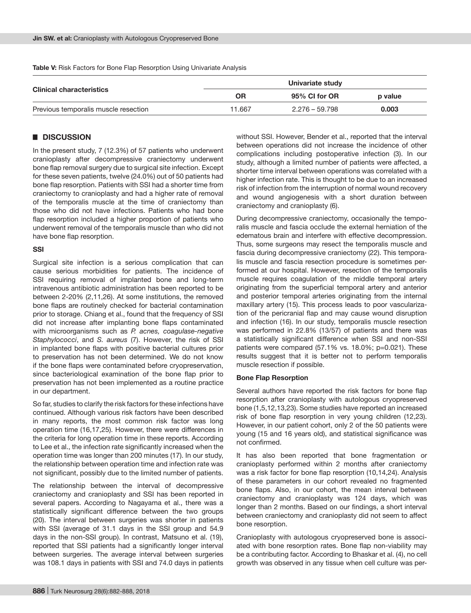**Clinical characteristics Univariate study OR 95% CI for OR p value** Previous temporalis muscle resection 11.667 2.276 – 59.798 **0.003**

**Table V:** Risk Factors for Bone Flap Resorption Using Univariate Analysis

# █ **DISCUSSION**

In the present study, 7 (12.3%) of 57 patients who underwent cranioplasty after decompressive craniectomy underwent bone flap removal surgery due to surgical site infection. Except for these seven patients, twelve (24.0%) out of 50 patients had bone flap resorption. Patients with SSI had a shorter time from craniectomy to cranioplasty and had a higher rate of removal of the temporalis muscle at the time of craniectomy than those who did not have infections. Patients who had bone flap resorption included a higher proportion of patients who underwent removal of the temporalis muscle than who did not have bone flap resorption.

#### **SSI**

Surgical site infection is a serious complication that can cause serious morbidities for patients. The incidence of SSI requiring removal of implanted bone and long-term intravenous antibiotic administration has been reported to be between 2-20% (2,11,26). At some institutions, the removed bone flaps are routinely checked for bacterial contamination prior to storage. Chiang et al., found that the frequency of SSI did not increase after implanting bone flaps contaminated with microorganisms such as *P. acnes, coagulase-negative Staphylococci*, and *S. aureus* (7). However, the risk of SSI in implanted bone flaps with positive bacterial cultures prior to preservation has not been determined. We do not know if the bone flaps were contaminated before cryopreservation, since bacteriological examination of the bone flap prior to preservation has not been implemented as a routine practice in our department.

So far, studies to clarify the risk factors for these infections have continued. Although various risk factors have been described in many reports, the most common risk factor was long operation time (16,17,25). However, there were differences in the criteria for long operation time in these reports. According to Lee et al., the infection rate significantly increased when the operation time was longer than 200 minutes (17). In our study, the relationship between operation time and infection rate was not significant, possibly due to the limited number of patients.

The relationship between the interval of decompressive craniectomy and cranioplasty and SSI has been reported in several papers. According to Nagayama et al., there was a statistically significant difference between the two groups (20). The interval between surgeries was shorter in patients with SSI (average of 31.1 days in the SSI group and 54.9 days in the non-SSI group). In contrast, Matsuno et al. (19), reported that SSI patients had a significantly longer interval between surgeries. The average interval between surgeries was 108.1 days in patients with SSI and 74.0 days in patients

without SSI. However, Bender et al., reported that the interval between operations did not increase the incidence of other complications including postoperative infection (3). In our study, although a limited number of patients were affected, a shorter time interval between operations was correlated with a higher infection rate. This is thought to be due to an increased risk of infection from the interruption of normal wound recovery and wound angiogenesis with a short duration between craniectomy and cranioplasty (6).

During decompressive craniectomy, occasionally the temporalis muscle and fascia occlude the external herniation of the edematous brain and interfere with effective decompression. Thus, some surgeons may resect the temporalis muscle and fascia during decompressive craniectomy (22). This temporalis muscle and fascia resection procedure is sometimes performed at our hospital. However, resection of the temporalis muscle requires coagulation of the middle temporal artery originating from the superficial temporal artery and anterior and posterior temporal arteries originating from the internal maxillary artery (15). This process leads to poor vascularization of the pericranial flap and may cause wound disruption and infection (16). In our study, temporalis muscle resection was performed in 22.8% (13/57) of patients and there was a statistically significant difference when SSI and non-SSI patients were compared (57.1% vs. 18.0%; p=0.021). These results suggest that it is better not to perform temporalis muscle resection if possible.

#### **Bone Flap Resorption**

Several authors have reported the risk factors for bone flap resorption after cranioplasty with autologous cryopreserved bone (1,5,12,13,23). Some studies have reported an increased risk of bone flap resorption in very young children (12,23). However, in our patient cohort, only 2 of the 50 patients were young (15 and 16 years old), and statistical significance was not confirmed.

It has also been reported that bone fragmentation or cranioplasty performed within 2 months after craniectomy was a risk factor for bone flap resorption (10,14,24). Analysis of these parameters in our cohort revealed no fragmented bone flaps. Also, in our cohort, the mean interval between craniectomy and cranioplasty was 124 days, which was longer than 2 months. Based on our findings, a short interval between craniectomy and cranioplasty did not seem to affect bone resorption.

Cranioplasty with autologous cryopreserved bone is associated with bone resorption rates. Bone flap non-viability may be a contributing factor. According to Bhaskar et al. (4), no cell growth was observed in any tissue when cell culture was per-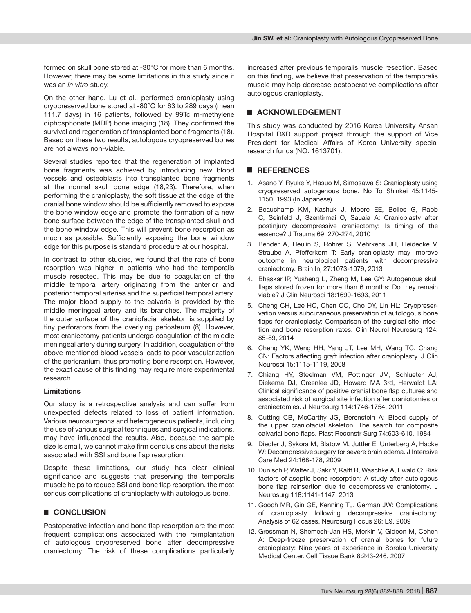formed on skull bone stored at -30°C for more than 6 months. However, there may be some limitations in this study since it was an *in vitro* study.

On the other hand, Lu et al., performed cranioplasty using cryopreserved bone stored at -80°C for 63 to 289 days (mean 111.7 days) in 16 patients, followed by 99Tc m-methylene diphosphonate (MDP) bone imaging (18). They confirmed the survival and regeneration of transplanted bone fragments (18). Based on these two results, autologous cryopreserved bones are not always non-viable.

Several studies reported that the regeneration of implanted bone fragments was achieved by introducing new blood vessels and osteoblasts into transplanted bone fragments at the normal skull bone edge (18,23). Therefore, when performing the cranioplasty, the soft tissue at the edge of the cranial bone window should be sufficiently removed to expose the bone window edge and promote the formation of a new bone surface between the edge of the transplanted skull and the bone window edge. This will prevent bone resorption as much as possible. Sufficiently exposing the bone window edge for this purpose is standard procedure at our hospital.

In contrast to other studies, we found that the rate of bone resorption was higher in patients who had the temporalis muscle resected. This may be due to coagulation of the middle temporal artery originating from the anterior and posterior temporal arteries and the superficial temporal artery. The major blood supply to the calvaria is provided by the middle meningeal artery and its branches. The majority of the outer surface of the craniofacial skeleton is supplied by tiny perforators from the overlying periosteum (8). However, most craniectomy patients undergo coagulation of the middle meningeal artery during surgery. In addition, coagulation of the above-mentioned blood vessels leads to poor vascularization of the pericranium, thus promoting bone resorption. However, the exact cause of this finding may require more experimental research.

#### **Limitations**

Our study is a retrospective analysis and can suffer from unexpected defects related to loss of patient information. Various neurosurgeons and heterogeneous patients, including the use of various surgical techniques and surgical indications, may have influenced the results. Also, because the sample size is small, we cannot make firm conclusions about the risks associated with SSI and bone flap resorption.

Despite these limitations, our study has clear clinical significance and suggests that preserving the temporalis muscle helps to reduce SSI and bone flap resorption, the most serious complications of cranioplasty with autologous bone.

# █ **CONCLUSION**

Postoperative infection and bone flap resorption are the most frequent complications associated with the reimplantation of autologous cryopreserved bone after decompressive craniectomy. The risk of these complications particularly increased after previous temporalis muscle resection. Based on this finding, we believe that preservation of the temporalis muscle may help decrease postoperative complications after autologous cranioplasty.

# █ **ACKNOWLEDGEMENT**

This study was conducted by 2016 Korea University Ansan Hospital R&D support project through the support of Vice President for Medical Affairs of Korea University special research funds (NO. 1613701).

# █ **REFERENCES**

- 1. Asano Y, Ryuke Y, Hasuo M, Simosawa S: Cranioplasty using cryopreserved autogenous bone. No To Shinkei 45:1145- 1150, 1993 (In Japanese)
- 2. Beauchamp KM, Kashuk J, Moore EE, Bolles G, Rabb C, Seinfeld J, Szentirmai O, Sauaia A: Cranioplasty after postinjury decompressive craniectomy: Is timing of the essence? J Trauma 69: 270-274, 2010
- 3. Bender A, Heulin S, Rohrer S, Mehrkens JH, Heidecke V, Straube A, Pfefferkorn T: Early cranioplasty may improve outcome in neurological patients with decompressive craniectomy. Brain Inj 27:1073-1079, 2013
- 4. Bhaskar IP, Yusheng L, Zheng M, Lee GY: Autogenous skull flaps stored frozen for more than 6 months: Do they remain viable? J Clin Neurosci 18:1690-1693, 2011
- 5. Cheng CH, Lee HC, Chen CC, Cho DY, Lin HL: Cryopreservation versus subcutaneous preservation of autologous bone flaps for cranioplasty: Comparison of the surgical site infection and bone resorption rates. Clin Neurol Neurosurg 124: 85-89, 2014
- 6. Cheng YK, Weng HH, Yang JT, Lee MH, Wang TC, Chang CN: Factors affecting graft infection after cranioplasty. J Clin Neurosci 15:1115-1119, 2008
- 7. Chiang HY, Steelman VM, Pottinger JM, Schlueter AJ, Diekema DJ, Greenlee JD, Howard MA 3rd, Herwaldt LA: Clinical significance of positive cranial bone flap cultures and associated risk of surgical site infection after craniotomies or craniectomies. J Neurosurg 114:1746-1754, 2011
- 8. Cutting CB, McCarthy JG, Berenstein A: Blood supply of the upper craniofacial skeleton: The search for composite calvarial bone flaps. Plast Reconstr Surg 74:603-610, 1984
- 9. Diedler J, Sykora M, Blatow M, Juttler E, Unterberg A, Hacke W: Decompressive surgery for severe brain edema. J Intensive Care Med 24:168-178, 2009
- 10. Dunisch P, Walter J, Sakr Y, Kalff R, Waschke A, Ewald C: Risk factors of aseptic bone resorption: A study after autologous bone flap reinsertion due to decompressive craniotomy. J Neurosurg 118:1141-1147, 2013
- 11. Gooch MR, Gin GE, Kenning TJ, German JW: Complications of cranioplasty following decompressive craniectomy: Analysis of 62 cases. Neurosurg Focus 26: E9, 2009
- 12. Grossman N, Shemesh-Jan HS, Merkin V, Gideon M, Cohen A: Deep-freeze preservation of cranial bones for future cranioplasty: Nine years of experience in Soroka University Medical Center. Cell Tissue Bank 8:243-246, 2007